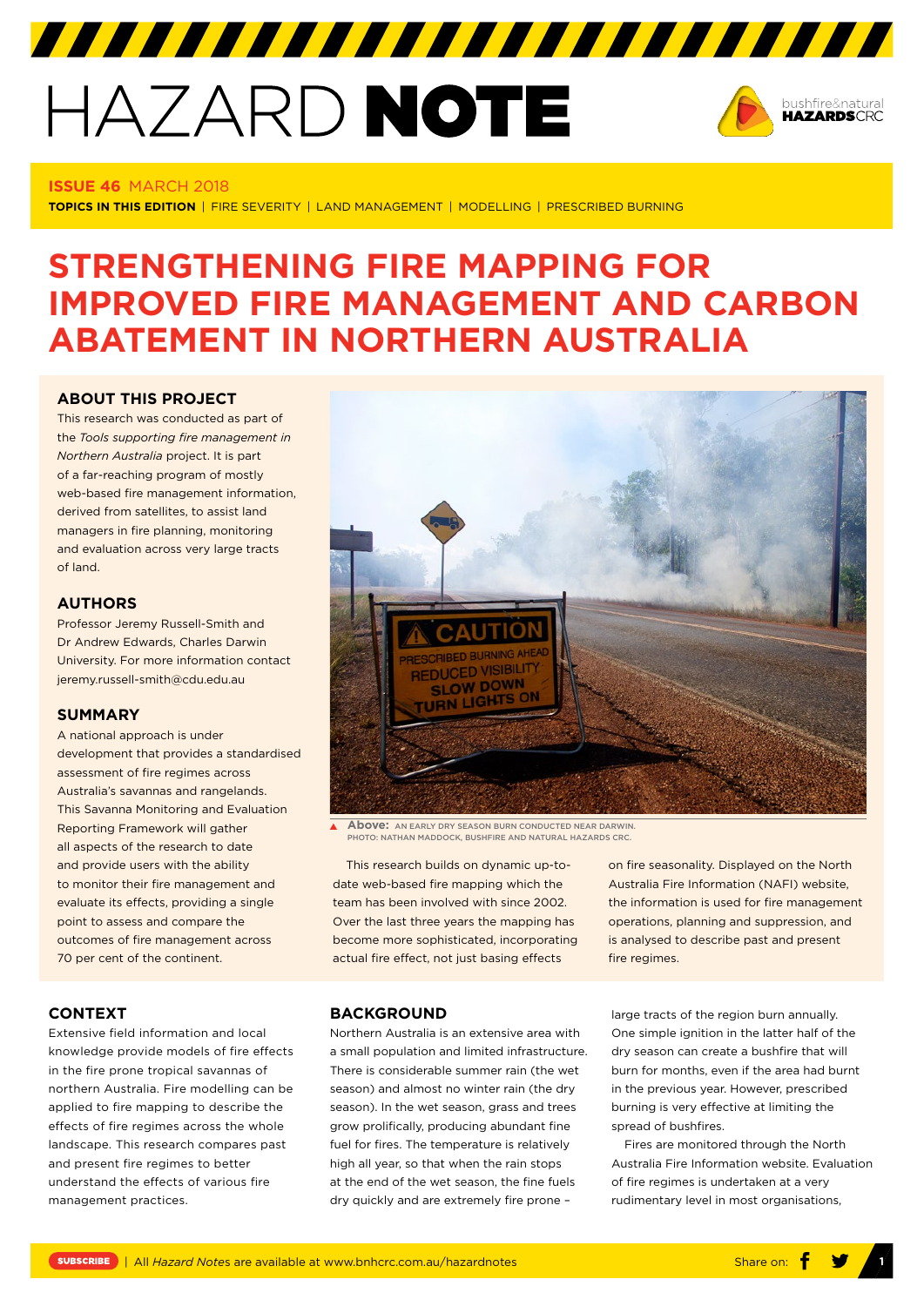## HAZARD NOTE



#### **ISSUE 46** MARCH 2018

**TOPICS IN THIS EDITION** | FIRE SEVERITY | LAND MANAGEMENT | MODELLING | PRESCRIBED BURNING

### **STRENGTHENING FIRE MAPPING FOR IMPROVED FIRE MANAGEMENT AND CARBON ABATEMENT IN NORTHERN AUSTRALIA**

#### **[ABOUT THIS PROJECT](https://www.bnhcrc.com.au/research/understanding-mitigating-hazards/261)**

This research was conducted as part of the *Tools supporting fire management in Northern Australia* project. It is part of a far-reaching program of mostly web-based fire management information derived from satellites, to assist land managers in fire planning, monitoring and evaluation across very large tracts of land.

#### **AUTHORS**

Professor Jeremy Russell-Smith and Dr Andrew Edwards, Charles Darwin University. For more information contact [jeremy.russell-smith@cdu.edu.au](mailto:jeremy.russell-smith@cdu.edu.au) 

#### **SUMMARY**

A national approach is under development that provides a standardised assessment of fire regimes across Australia's savannas and rangelands. This Savanna Monitoring and Evaluation Reporting Framework will gather all aspects of the research to date and provide users with the ability to monitor their fire management and evaluate its effects, providing a single point to assess and compare the outcomes of fire management across 70 per cent of the continent.

# REDUCED VISIBILITY **SLOW DOWN** URN LIGHTS

**Above:** AN EARLY DRY SEASON BURN CONDUCTED NEAR DARWIN. PHOTO: NATHAN MADDOCK, BUSHFIRE AND NATURAL HAZARDS CRC.

This research builds on dynamic up-todate web-based fire mapping which the team has been involved with since 2002. Over the last three years the mapping has become more sophisticated, incorporating actual fire effect, not just basing effects

on fire seasonality. Displayed on the North Australia Fire Information [\(NAFI](http://www.firenorth.org.au)) website, the information is used for fire management operations, planning and suppression, and is analysed to describe past and present fire regimes.

#### **CONTEXT**

Extensive field information and local knowledge provide models of fire effects in the fire prone tropical savannas of northern Australia. Fire modelling can be applied to fire mapping to describe the effects of fire regimes across the whole landscape. This research compares past and present fire regimes to better understand the effects of various fire management practices.

#### **BACKGROUND**

Northern Australia is an extensive area with a small population and limited infrastructure. There is considerable summer rain (the wet season) and almost no winter rain (the dry season). In the wet season, grass and trees grow prolifically, producing abundant fine fuel for fires. The temperature is relatively high all year, so that when the rain stops at the end of the wet season, the fine fuels dry quickly and are extremely fire prone –

large tracts of the region burn annually. One simple ignition in the latter half of the dry season can create a bushfire that will burn for months, even if the area had burnt in the previous year. However, prescribed burning is very effective at limiting the spread of bushfires.

Fires are monitored through the North Australia Fire Information website. Evaluation of fire regimes is undertaken at a very rudimentary level in most organisations,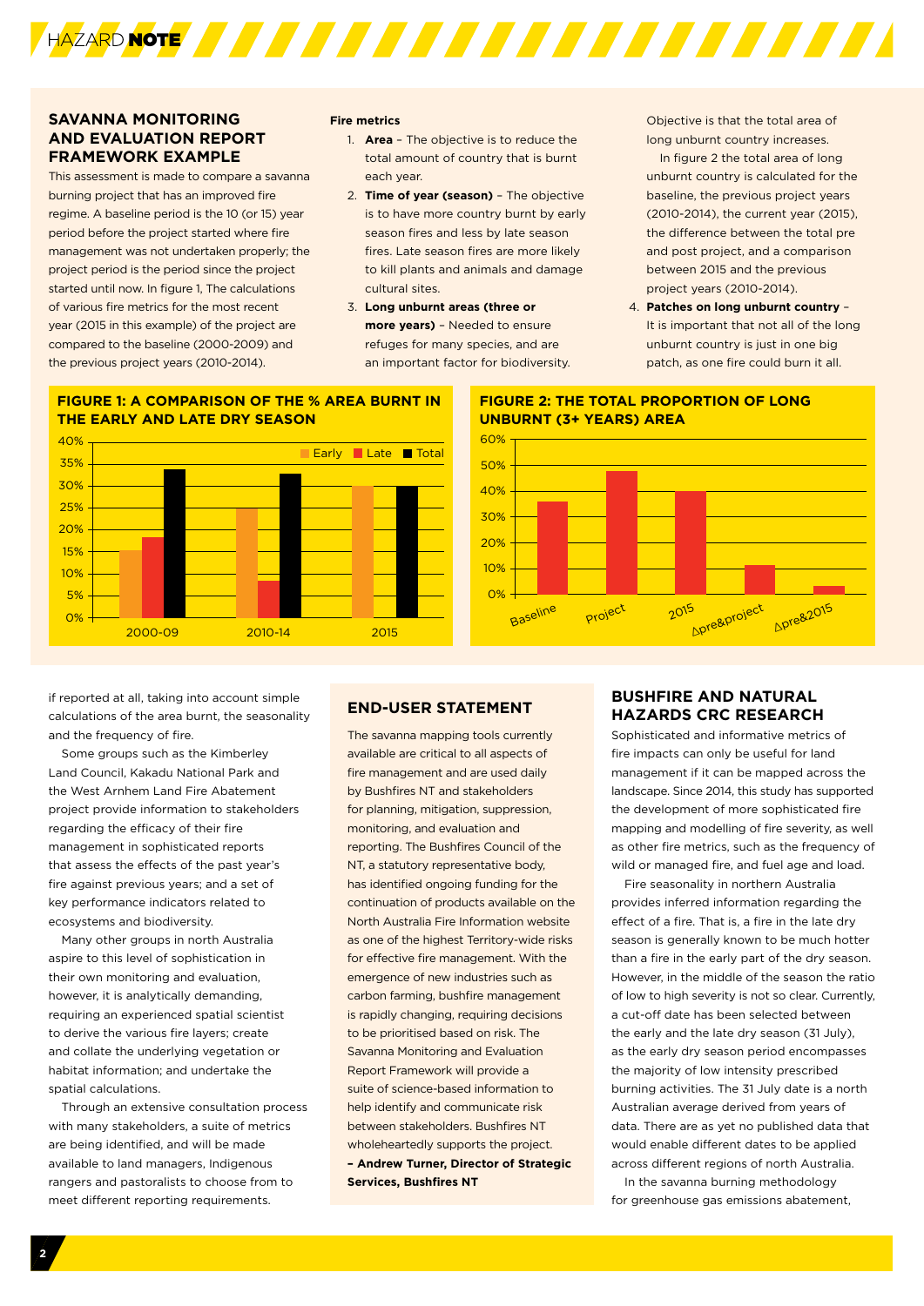

#### **SAVANNA MONITORING AND EVALUATION REPORT FRAMEWORK EXAMPLE**

This assessment is made to compare a savanna burning project that has an improved fire regime. A baseline period is the 10 (or 15) year period before the project started where fire management was not undertaken properly; the project period is the period since the project started until now. In figure 1, The calculations of various fire metrics for the most recent year (2015 in this example) of the project are compared to the baseline (2000-2009) and the previous project years (2010-2014).

#### **Fire metrics**

- 1. **Area** The objective is to reduce the total amount of country that is burnt each year.
- 2. **Time of year (season)** The objective is to have more country burnt by early season fires and less by late season fires. Late season fires are more likely to kill plants and animals and damage cultural sites.
- 3. **Long unburnt areas (three or more years)** – Needed to ensure refuges for many species, and are an important factor for biodiversity.

Objective is that the total area of long unburnt country increases.

In figure 2 the total area of long unburnt country is calculated for the baseline, the previous project years (2010-2014), the current year (2015), the difference between the total pre and post project, and a comparison between 2015 and the previous project years (2010-2014).

4. **Patches on long unburnt country** – It is important that not all of the long unburnt country is just in one big patch, as one fire could burn it all.

#### **FIGURE 1: A COMPARISON OF THE % AREA BURNT IN THE EARLY AND LATE DRY SEASON**



#### **FIGURE 2: THE TOTAL PROPORTION OF LONG UNBURNT (3+ YEARS) AREA**



if reported at all, taking into account simple calculations of the area burnt, the seasonality and the frequency of fire.

Some groups such as the Kimberley Land Council, Kakadu National Park and the West Arnhem Land Fire Abatement project provide information to stakeholders regarding the efficacy of their fire management in sophisticated reports that assess the effects of the past year's fire against previous years; and a set of key performance indicators related to ecosystems and biodiversity.

Many other groups in north Australia aspire to this level of sophistication in their own monitoring and evaluation, however, it is analytically demanding, requiring an experienced spatial scientist to derive the various fire layers; create and collate the underlying vegetation or habitat information; and undertake the spatial calculations.

Through an extensive consultation process with many stakeholders, a suite of metrics are being identified, and will be made available to land managers, Indigenous rangers and pastoralists to choose from to meet different reporting requirements.

#### **END-USER STATEMENT**

The savanna mapping tools currently available are critical to all aspects of fire management and are used daily by Bushfires NT and stakeholders for planning, mitigation, suppression, monitoring, and evaluation and reporting. The Bushfires Council of the NT, a statutory representative body, has identified ongoing funding for the continuation of products available on the North Australia Fire Information website as one of the highest Territory-wide risks for effective fire management. With the emergence of new industries such as carbon farming, bushfire management is rapidly changing, requiring decisions to be prioritised based on risk. The Savanna Monitoring and Evaluation Report Framework will provide a suite of science-based information to help identify and communicate risk between stakeholders. Bushfires NT wholeheartedly supports the project. **– Andrew Turner, Director of Strategic Services, Bushfires NT**

#### **BUSHFIRE AND NATURAL HAZARDS CRC RESEARCH**

Sophisticated and informative metrics of fire impacts can only be useful for land management if it can be mapped across the landscape. Since 2014, this study has supported the development of more sophisticated fire mapping and modelling of fire severity, as well as other fire metrics, such as the frequency of wild or managed fire, and fuel age and load.

Fire seasonality in northern Australia provides inferred information regarding the effect of a fire. That is, a fire in the late dry season is generally known to be much hotter than a fire in the early part of the dry season. However, in the middle of the season the ratio of low to high severity is not so clear. Currently, a cut-off date has been selected between the early and the late dry season (31 July), as the early dry season period encompasses the majority of low intensity prescribed burning activities. The 31 July date is a north Australian average derived from years of data. There are as yet no published data that would enable different dates to be applied across different regions of north Australia.

In the savanna burning methodology for greenhouse gas emissions abatement,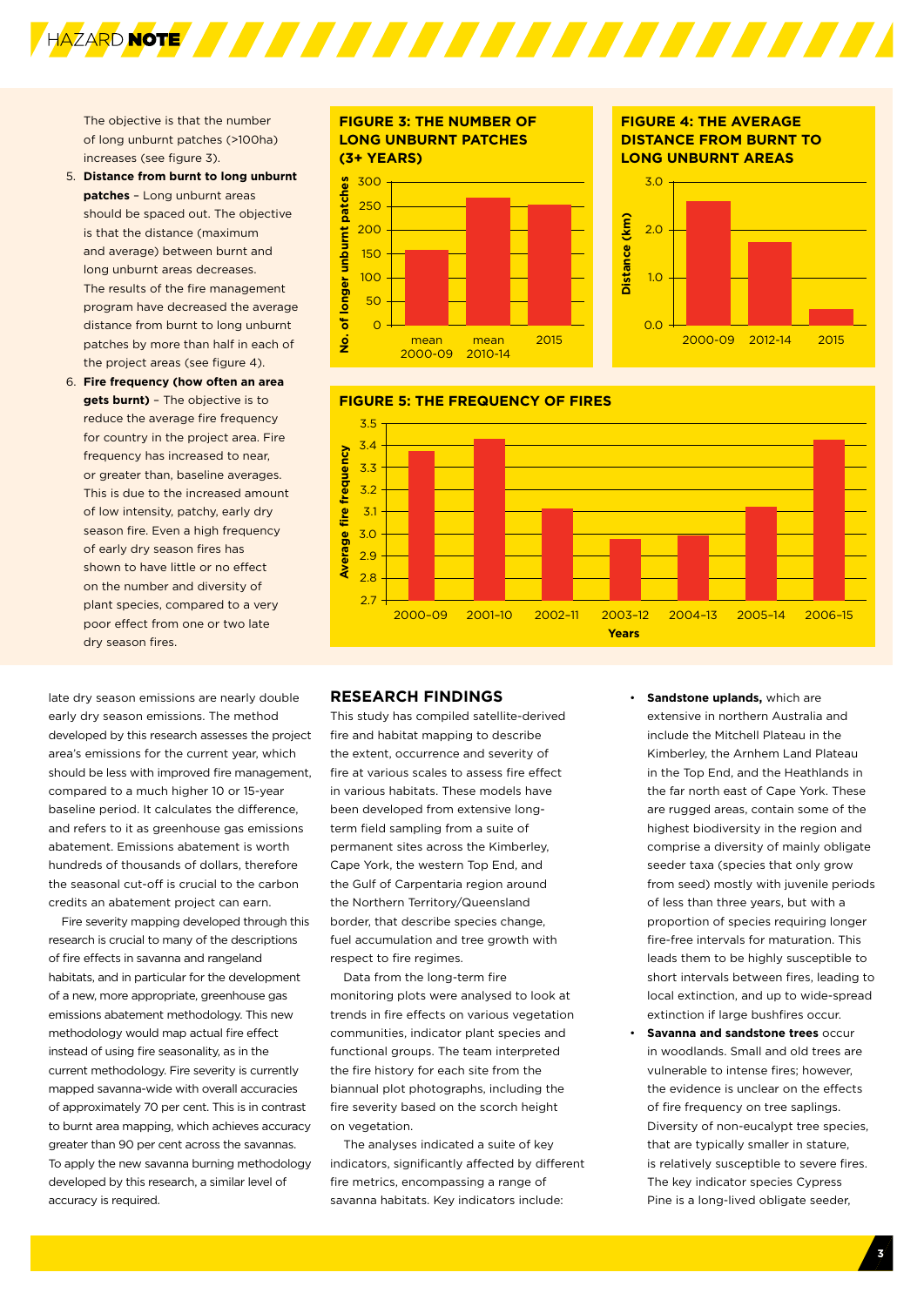The objective is that the number of long unburnt patches (>100ha) increases (see figure 3).

- 5. **Distance from burnt to long unburnt patches** – Long unburnt areas should be spaced out. The objective is that the distance (maximum and average) between burnt and long unburnt areas decreases. The results of the fire management program have decreased the average distance from burnt to long unburnt patches by more than half in each of the project areas (see figure 4).
- 6. **Fire frequency (how often an area gets burnt)** – The objective is to reduce the average fire frequency for country in the project area. Fire frequency has increased to near, or greater than, baseline averages. This is due to the increased amount of low intensity, patchy, early dry season fire. Even a high frequency of early dry season fires has shown to have little or no effect on the number and diversity of plant species, compared to a very poor effect from one or two late dry season fires.

late dry season emissions are nearly double early dry season emissions. The method developed by this research assesses the project area's emissions for the current year, which should be less with improved fire management, compared to a much higher 10 or 15-year baseline period. It calculates the difference, and refers to it as greenhouse gas emissions abatement. Emissions abatement is worth hundreds of thousands of dollars, therefore the seasonal cut-off is crucial to the carbon credits an abatement project can earn.

Fire severity mapping developed through this research is crucial to many of the descriptions of fire effects in savanna and rangeland habitats, and in particular for the development of a new, more appropriate, greenhouse gas emissions abatement methodology. This new methodology would map actual fire effect instead of using fire seasonality, as in the current methodology. Fire severity is currently mapped savanna-wide with overall accuracies of approximately 70 per cent. This is in contrast to burnt area mapping, which achieves accuracy greater than 90 per cent across the savannas. To apply the new savanna burning methodology developed by this research, a similar level of accuracy is required.

#### **FIGURE 3: THE NUMBER OF LONG UNBURNT PATCHES (3+ YEARS)** 300



#### **FIGURE 4: THE AVERAGE DISTANCE FROM BURNT TO**







#### **RESEARCH FINDINGS**

This study has compiled satellite-derived fire and habitat mapping to describe the extent, occurrence and severity of fire at various scales to assess fire effect in various habitats. These models have been developed from extensive longterm field sampling from a suite of permanent sites across the Kimberley, Cape York, the western Top End, and the Gulf of Carpentaria region around the Northern Territory/Queensland border, that describe species change, fuel accumulation and tree growth with respect to fire regimes.

Data from the long-term fire monitoring plots were analysed to look at trends in fire effects on various vegetation communities, indicator plant species and functional groups. The team interpreted the fire history for each site from the biannual plot photographs, including the fire severity based on the scorch height on vegetation.

The analyses indicated a suite of key indicators, significantly affected by different fire metrics, encompassing a range of savanna habitats. Key indicators include:

- **Sandstone uplands, which are** extensive in northern Australia and include the Mitchell Plateau in the Kimberley, the Arnhem Land Plateau in the Top End, and the Heathlands in the far north east of Cape York. These are rugged areas, contain some of the highest biodiversity in the region and comprise a diversity of mainly obligate seeder taxa (species that only grow from seed) mostly with juvenile periods of less than three years, but with a proportion of species requiring longer fire-free intervals for maturation. This leads them to be highly susceptible to short intervals between fires, leading to local extinction, and up to wide-spread extinction if large bushfires occur.
- **Savanna and sandstone trees** occur in woodlands. Small and old trees are vulnerable to intense fires; however, the evidence is unclear on the effects of fire frequency on tree saplings. Diversity of non-eucalypt tree species, that are typically smaller in stature, is relatively susceptible to severe fires. The key indicator species Cypress Pine is a long-lived obligate seeder,